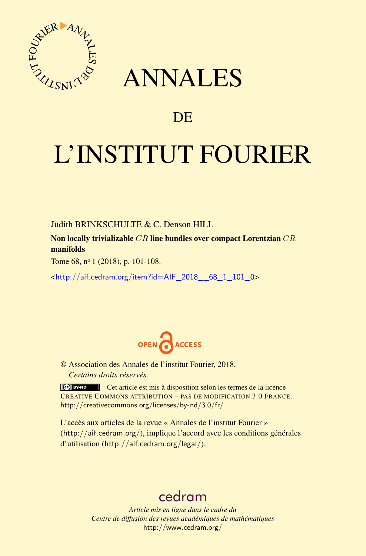

## ANNALES

### **DE**

# L'INSTITUT FOURIER

Judith BRINKSCHULTE & C. Denson HILL

Non locally trivializable *CR* line bundles over compact Lorentzian *CR* manifolds

Tome 68, n<sup>o</sup> 1 (2018), p. 101-108.

<[http://aif.cedram.org/item?id=AIF\\_2018\\_\\_68\\_1\\_101\\_0](http://aif.cedram.org/item?id=AIF_2018__68_1_101_0)>



© Association des Annales de l'institut Fourier, 2018, *Certains droits réservés.*

Cet article est mis à disposition selon les termes de la licence CREATIVE COMMONS ATTRIBUTION – PAS DE MODIFICATION 3.0 FRANCE. <http://creativecommons.org/licenses/by-nd/3.0/fr/>

L'accès aux articles de la revue « Annales de l'institut Fourier » (<http://aif.cedram.org/>), implique l'accord avec les conditions générales d'utilisation (<http://aif.cedram.org/legal/>).

## [cedram](http://www.cedram.org/)

*Article mis en ligne dans le cadre du Centre de diffusion des revues académiques de mathématiques* <http://www.cedram.org/>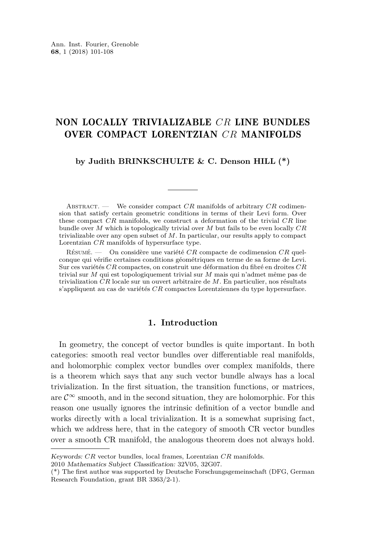#### NON LOCALLY TRIVIALIZABLE *CR* LINE BUNDLES OVER COMPACT LORENTZIAN *CR* MANIFOLDS

#### **by Judith BRINKSCHULTE & C. Denson HILL (\*)**

ABSTRACT. — We consider compact *CR* manifolds of arbitrary *CR* codimension that satisfy certain geometric conditions in terms of their Levi form. Over these compact *CR* manifolds, we construct a deformation of the trivial *CR* line bundle over *M* which is topologically trivial over *M* but fails to be even locally *CR* trivializable over any open subset of *M*. In particular, our results apply to compact Lorentzian *CR* manifolds of hypersurface type.

Résumé. — On considère une variété *CR* compacte de codimension *CR* quelconque qui vérifie certaines conditions géométriques en terme de sa forme de Levi. Sur ces variétés *CR* compactes, on construit une déformation du fibré en droites *CR* trivial sur *M* qui est topologiquement trivial sur *M* mais qui n'admet même pas de trivialization *CR* locale sur un ouvert arbitraire de *M*. En particulier, nos résultats s'appliquent au cas de variétés *CR* compactes Lorentziennes du type hypersurface.

#### **1. Introduction**

In geometry, the concept of vector bundles is quite important. In both categories: smooth real vector bundles over differentiable real manifolds, and holomorphic complex vector bundles over complex manifolds, there is a theorem which says that any such vector bundle always has a local trivialization. In the first situation, the transition functions, or matrices, are  $\mathcal{C}^{\infty}$  smooth, and in the second situation, they are holomorphic. For this reason one usually ignores the intrinsic definition of a vector bundle and works directly with a local trivialization. It is a somewhat suprising fact, which we address here, that in the category of smooth CR vector bundles over a smooth CR manifold, the analogous theorem does not always hold.

Keywords: *CR* vector bundles, local frames, Lorentzian *CR* manifolds.

<sup>2010</sup> Mathematics Subject Classification: 32V05, 32G07.

<sup>(\*)</sup> The first author was supported by Deutsche Forschungsgemeinschaft (DFG, German Research Foundation, grant BR 3363/2-1).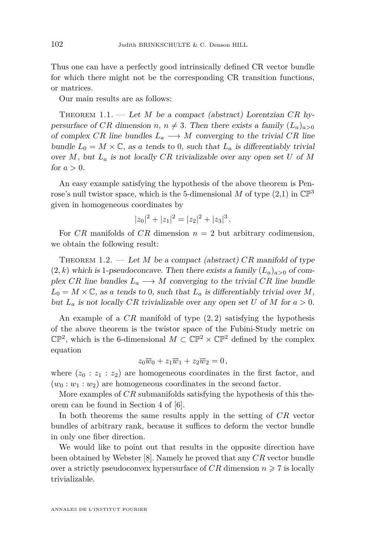Thus one can have a perfectly good intrinsically defined CR vector bundle for which there might not be the corresponding CR transition functions, or matrices.

Our main results are as follows:

<span id="page-2-0"></span>THEOREM 1.1. — Let *M* be a compact (abstract) Lorentzian *CR* hypersurface of *CR* dimension *n*,  $n \neq 3$ . Then there exists a family  $(L_a)_{a>0}$ of complex *CR* line bundles  $L_a \longrightarrow M$  converging to the trivial *CR* line bundle  $L_0 = M \times \mathbb{C}$ , as a tends to 0, such that  $L_a$  is differentiably trivial over *M*, but *L<sup>a</sup>* is not locally *CR* trivializable over any open set *U* of *M* for  $a > 0$ .

An easy example satisfying the hypothesis of the above theorem is Penrose's null twistor space, which is the 5-dimensional *M* of type  $(2,1)$  in  $\mathbb{CP}^3$ given in homogeneous coordinates by

$$
|z_0|^2 + |z_1|^2 = |z_2|^2 + |z_3|^3.
$$

For *CR* manifolds of *CR* dimension  $n = 2$  but arbitrary codimension, we obtain the following result:

<span id="page-2-1"></span>THEOREM 1.2. — Let *M* be a compact (abstract) CR manifold of type  $(2, k)$  which is 1-pseudoconcave. Then there exists a family  $(L_a)_{a>0}$  of complex *CR* line bundles  $L_a \longrightarrow M$  converging to the trivial *CR* line bundle  $L_0 = M \times \mathbb{C}$ , as a tends to 0, such that  $L_a$  is differentiably trivial over M, but  $L_a$  is not locally CR trivializable over any open set U of M for  $a > 0$ .

An example of a *CR* manifold of type (2*,* 2) satisfying the hypothesis of the above theorem is the twistor space of the Fubini-Study metric on  $\mathbb{CP}^2$ , which is the 6-dimensional  $M \subset \mathbb{CP}^2 \times \mathbb{CP}^2$  defined by the complex equation

$$
z_0\overline{w}_0 + z_1\overline{w}_1 + z_2\overline{w}_2 = 0,
$$

where  $(z_0 : z_1 : z_2)$  are homogeneous coordinates in the first factor, and  $(w_0:w_1:w_2)$  are homogeneous coordinates in the second factor.

More examples of *CR* submanifolds satisfying the hypothesis of this theorem can be found in Section 4 of [\[6\]](#page-8-0).

In both theorems the same results apply in the setting of *CR* vector bundles of arbitrary rank, because it suffices to deform the vector bundle in only one fiber direction.

We would like to point out that results in the opposite direction have been obtained by Webster [\[8\]](#page-8-1). Namely he proved that any *CR* vector bundle over a strictly pseudoconvex hypersurface of  $CR$  dimension  $n \geq 7$  is locally trivializable.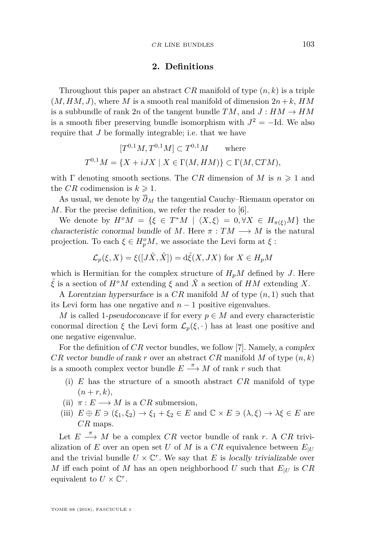#### **2. Definitions**

Throughout this paper an abstract *CR* manifold of type (*n, k*) is a triple  $(M, HM, J)$ , where M is a smooth real manifold of dimension  $2n+k$ , HM is a subbundle of rank 2*n* of the tangent bundle  $TM$ , and  $J: HM \rightarrow HM$ is a smooth fiber preserving bundle isomorphism with  $J^2 = -Id$ . We also require that *J* be formally integrable; i.e. that we have

$$
[T^{0,1}M, T^{0,1}M] \subset T^{0,1}M \quad \text{where}
$$
  

$$
T^{0,1}M = \{X + iJX \mid X \in \Gamma(M, HM)\} \subset \Gamma(M, CTM),
$$

with  $\Gamma$  denoting smooth sections. The *CR* dimension of *M* is  $n \geq 1$  and the *CR* codimension is  $k \geq 1$ .

As usual, we denote by  $\overline{\partial}_M$  the tangential Cauchy–Riemann operator on *M*. For the precise definition, we refer the reader to [\[6\]](#page-8-0).

We denote by  $H^oM = \{\xi \in T^*M \mid \langle X, \xi \rangle = 0, \forall X \in H_{\pi(\xi)}M\}$  the characteristic conormal bundle of *M*. Here  $\pi : TM \longrightarrow M$  is the natural projection. To each  $\xi \in H_p^oM$ , we associate the Levi form at  $\xi$ :

$$
\mathcal{L}_p(\xi, X) = \xi([J\tilde{X}, \tilde{X}]) = \mathrm{d}\tilde{\xi}(X, JX) \text{ for } X \in H_pM
$$

which is Hermitian for the complex structure of  $H_pM$  defined by *J*. Here  $\tilde{\xi}$  is a section of  $H^oM$  extending  $\xi$  and  $\tilde{X}$  a section of  $HM$  extending X.

A Lorentzian hypersurface is a *CR* manifold *M* of type (*n,* 1) such that its Levi form has one negative and  $n-1$  positive eigenvalues.

*M* is called 1-pseudoconcave if for every  $p \in M$  and every characteristic conormal direction  $\xi$  the Levi form  $\mathcal{L}_p(\xi, \cdot)$  has at least one positive and one negative eigenvalue.

For the definition of *CR* vector bundles, we follow [\[7\]](#page-8-2). Namely, a complex *CR* vector bundle of rank *r* over an abstract *CR* manifold *M* of type (*n, k*) is a smooth complex vector bundle  $E \stackrel{\pi}{\longrightarrow} M$  of rank  $r$  such that

- (i) *E* has the structure of a smooth abstract *CR* manifold of type  $(n+r, k),$
- (ii)  $\pi: E \longrightarrow M$  is a *CR* submersion,
- (iii)  $E \oplus E \ni (\xi_1, \xi_2) \to \xi_1 + \xi_2 \in E$  and  $\mathbb{C} \times E \ni (\lambda, \xi) \to \lambda \xi \in E$  are *CR* maps.

Let  $E \stackrel{\pi}{\longrightarrow} M$  be a complex *CR* vector bundle of rank *r*. A *CR* trivialization of *E* over an open set *U* of *M* is a *CR* equivalence between  $E_{|U}$ and the trivial bundle  $U \times \mathbb{C}^r$ . We say that *E* is locally trivializable over *M* iff each point of *M* has an open neighborhood *U* such that  $E_{|U}$  is  $CR$ equivalent to  $U \times \mathbb{C}^r$ .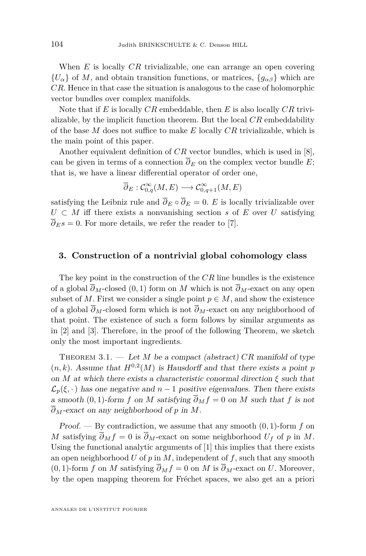When *E* is locally *CR* trivializable, one can arrange an open covering  ${U_{\alpha}}$  of *M*, and obtain transition functions, or matrices,  ${g_{\alpha\beta}}$  which are *CR*. Hence in that case the situation is analogous to the case of holomorphic vector bundles over complex manifolds.

Note that if *E* is locally *CR* embeddable, then *E* is also locally *CR* trivializable, by the implicit function theorem. But the local *CR* embeddability of the base *M* does not suffice to make *E* locally *CR* trivializable, which is the main point of this paper.

Another equivalent definition of *CR* vector bundles, which is used in [\[8\]](#page-8-1), can be given in terms of a connection  $\overline{\partial}_E$  on the complex vector bundle *E*; that is, we have a linear differential operator of order one,

$$
\overline{\partial}_E : \mathcal{C}^{\infty}_{0,q}(M, E) \longrightarrow \mathcal{C}^{\infty}_{0,q+1}(M, E)
$$

satisfying the Leibniz rule and  $\overline{\partial}_E \circ \overline{\partial}_E = 0$ . *E* is locally trivializable over  $U \subset M$  iff there exists a nonvanishing section *s* of *E* over *U* satisfying  $\overline{\partial}_E s = 0$ . For more details, we refer the reader to [\[7\]](#page-8-2).

#### **3. Construction of a nontrivial global cohomology class**

The key point in the construction of the *CR* line bundles is the existence of a global  $\overline{\partial}_M$ -closed (0, 1) form on *M* which is not  $\overline{\partial}_M$ -exact on any open subset of *M*. First we consider a single point  $p \in M$ , and show the existence of a global *∂M*-closed form which is not *∂M*-exact on any neighborhood of that point. The existence of such a form follows by similar arguments as in [\[2\]](#page-8-3) and [\[3\]](#page-8-4). Therefore, in the proof of the following Theorem, we sketch only the most important ingredients.

<span id="page-4-0"></span>THEOREM  $3.1.$  — Let *M* be a compact (abstract) *CR* manifold of type  $(n, k)$ . Assume that  $H^{0,2}(M)$  is Hausdorff and that there exists a point *p* on *M* at which there exists a characteristic conormal direction *ξ* such that  $\mathcal{L}_p(\xi, \cdot)$  has one negative and *n* − 1 positive eigenvalues. Then there exists a smooth (0,1)-form *f* on *M* satisfying  $\overline{\partial}_M f = 0$  on *M* such that *f* is not *∂M*-exact on any neighborhood of *p* in *M*.

Proof. — By contradiction, we assume that any smooth (0*,* 1)-form *f* on *M* satisfying  $\overline{\partial}_M f = 0$  is  $\overline{\partial}_M$ -exact on some neighborhood  $U_f$  of *p* in *M*. Using the functional analytic arguments of [\[1\]](#page-7-0) this implies that there exists an open neighborhood *U* of *p* in *M*, independent of *f*, such that any smooth  $(0,1)$ -form *f* on *M* satisfying  $\overline{\partial}_M f = 0$  on *M* is  $\overline{\partial}_M$ -exact on *U*. Moreover, by the open mapping theorem for Fréchet spaces, we also get an a priori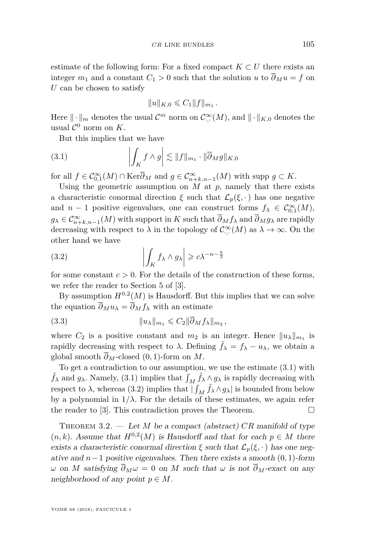estimate of the following form: For a fixed compact  $K \subset U$  there exists an integer  $m_1$  and a constant  $C_1 > 0$  such that the solution *u* to  $\overline{\partial}_M u = f$  on *U* can be chosen to satisfy

<span id="page-5-0"></span>
$$
||u||_{K,0} \leqslant C_1 ||f||_{m_1}.
$$

Here  $\|\cdot\|_m$  denotes the usual  $\mathcal{C}^m$  norm on  $\mathcal{C}^\infty_{\cdot,\cdot}(M)$ , and  $\|\cdot\|_{K,0}$  denotes the usual  $\mathcal{C}^0$  norm on K.

But this implies that we have

(3.1) 
$$
\left| \int_{K} f \wedge g \right| \lesssim ||f||_{m_{1}} \cdot ||\overline{\partial}_{M}g||_{K,0}
$$

for all  $f \in \mathcal{C}_{0,1}^{\infty}(M) \cap \text{Ker}\overline{\partial}_M$  and  $g \in \mathcal{C}_{n+k,n-1}^{\infty}(M)$  with supp  $g \subset K$ .

Using the geometric assumption on  $M$  at  $p$ , namely that there exists a characteristic conormal direction  $\xi$  such that  $\mathcal{L}_p(\xi, \cdot)$  has one negative and *n* − 1 positive eigenvalues, one can construct forms  $f_{\lambda} \in C_{0,1}^{\infty}(M)$ ,  $g_{\lambda} \in C^{\infty}_{n+k,n-1}(M)$  with support in *K* such that  $\overline{\partial}_M f_{\lambda}$  and  $\overline{\partial}_M g_{\lambda}$  are rapidly decreasing with respect to  $\lambda$  in the topology of  $C^{\infty}_{\cdot,\cdot}(M)$  as  $\lambda \to \infty$ . On the other hand we have

<span id="page-5-1"></span>(3.2) 
$$
\left| \int_{K} f_{\lambda} \wedge g_{\lambda} \right| \geqslant c \lambda^{-n - \frac{k}{2}}
$$

for some constant  $c > 0$ . For the details of the construction of these forms, we refer the reader to Section 5 of [\[3\]](#page-8-4).

By assumption  $H^{0,2}(M)$  is Hausdorff. But this implies that we can solve the equation  $\overline{\partial}_M u_\lambda = \overline{\partial}_M f_\lambda$  with an estimate

(3.3) 
$$
||u_{\lambda}||_{m_1} \leqslant C_2 ||\overline{\partial}_M f_{\lambda}||_{m_2},
$$

where  $C_2$  is a positive constant and  $m_2$  is an integer. Hence  $||u_\lambda||_{m_1}$  is rapidly decreasing with respect to  $\lambda$ . Defining  $\tilde{f}_{\lambda} = f_{\lambda} - u_{\lambda}$ , we obtain a global smooth  $\overline{\partial}_M$ -closed (0, 1)-form on *M*.

To get a contradiction to our assumption, we use the estimate [\(3.1\)](#page-5-0) with  $\tilde{f}_{\lambda}$  and  $g_{\lambda}$ . Namely, [\(3.1\)](#page-5-0) implies that  $\int_M \tilde{f}_{\lambda} \wedge g_{\lambda}$  is rapidly decreasing with respect to  $\lambda$ , whereas [\(3.2\)](#page-5-1) implies that  $\iint_M \tilde{f}_\lambda \wedge g_\lambda$  is bounded from below by a polynomial in  $1/\lambda$ . For the details of these estimates, we again refer the reader to [\[3\]](#page-8-4). This contradiction proves the Theorem.  $\Box$ 

<span id="page-5-2"></span>THEOREM 3.2. — Let *M* be a compact (abstract) *CR* manifold of type  $(n, k)$ . Assume that  $H^{0,2}(M)$  is Hausdorff and that for each  $p \in M$  there exists a characteristic conormal direction  $\xi$  such that  $\mathcal{L}_p(\xi, \cdot)$  has one negative and *n*−1 positive eigenvalues. Then there exists a smooth (0*,* 1)-form *ω* on *M* satisfying  $\overline{\partial}_M \omega = 0$  on *M* such that *ω* is not  $\overline{\partial}_M$ -exact on any neighborhood of any point  $p \in M$ .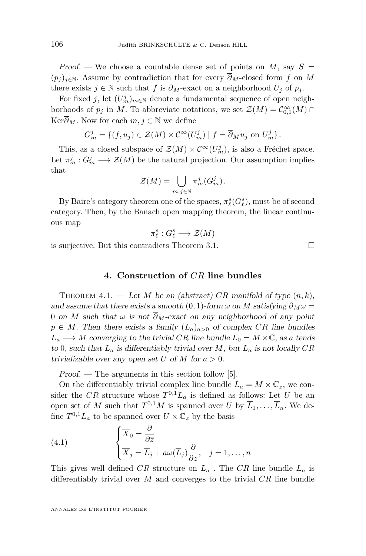Proof. — We choose a countable dense set of points on  $M$ , say  $S =$  $(p_i)_{i \in \mathbb{N}}$ . Assume by contradiction that for every  $\overline{\partial}_M$ -closed form *f* on *M* there exists  $j \in \mathbb{N}$  such that  $f$  is  $\overline{\partial}_M$ -exact on a neighborhood  $U_j$  of  $p_j$ .

For fixed *j*, let  $(U_m^j)_{m \in \mathbb{N}}$  denote a fundamental sequence of open neighborhoods of  $p_j$  in M. To abbreviate notations, we set  $\mathcal{Z}(M) = \mathcal{C}^{\infty}_{0,1}(M) \cap$  $Ker\overline{\partial}_M$ . Now for each  $m, j \in \mathbb{N}$  we define

$$
G_m^j = \{ (f, u_j) \in \mathcal{Z}(M) \times C^{\infty}(U_m^j) \mid f = \overline{\partial}_M u_j \text{ on } U_m^j \}.
$$

This, as a closed subspace of  $\mathcal{Z}(M) \times C^{\infty}(U_m^j)$ , is also a Fréchet space. Let  $\pi_m^j : G_m^j \longrightarrow \mathcal{Z}(M)$  be the natural projection. Our assumption implies that

$$
\mathcal{Z}(M) = \bigcup_{m,j \in \mathbb{N}} \pi_m^j(G_m^j).
$$

By Baire's category theorem one of the spaces,  $\pi^s_{\ell}(G_{\ell}^s)$ , must be of second category. Then, by the Banach open mapping theorem, the linear continuous map

$$
\pi^s_\ell: G^s_\ell \longrightarrow \mathcal{Z}(M)
$$

is surjective. But this contradicts Theorem [3.1.](#page-4-0)

#### **4. Construction of** *CR* **line bundles**

<span id="page-6-0"></span>THEOREM 4.1. — Let *M* be an (abstract) *CR* manifold of type  $(n, k)$ , and assume that there exists a smooth  $(0, 1)$ -form  $\omega$  on *M* satisfying  $\overline{\partial}_M \omega$  = 0 on *M* such that  $\omega$  is not  $\overline{\partial}_M$ -exact on any neighborhood of any point  $p \in M$ . Then there exists a family  $(L_a)_{a>0}$  of complex *CR* line bundles  $L_a \longrightarrow M$  converging to the trivial *CR* line bundle  $L_0 = M \times \mathbb{C}$ , as a tends to 0, such that  $L_a$  is differentiably trivial over  $M$ , but  $L_a$  is not locally  $CR$ trivializable over any open set U of M for  $a > 0$ .

 $Proof.$  — The arguments in this section follow [\[5\]](#page-8-5).

On the differentiably trivial complex line bundle  $L_a = M \times \mathbb{C}_z$ , we consider the *CR* structure whose  $T^{0,1}L_a$  is defined as follows: Let *U* be an open set of *M* such that  $T^{0,1}M$  is spanned over *U* by  $\overline{L}_1, \ldots, \overline{L}_n$ . We define  $T^{0,1}L_a$  to be spanned over  $U \times \mathbb{C}_z$  by the basis

(4.1) 
$$
\begin{cases} \overline{X}_0 = \frac{\partial}{\partial \overline{z}} \\ \overline{X}_j = \overline{L}_j + a\omega(\overline{L}_j)\frac{\partial}{\partial z}, \quad j = 1, ..., n \end{cases}
$$

This gives well defined *CR* structure on *L<sup>a</sup>* . The *CR* line bundle *L<sup>a</sup>* is differentiably trivial over *M* and converges to the trivial *CR* line bundle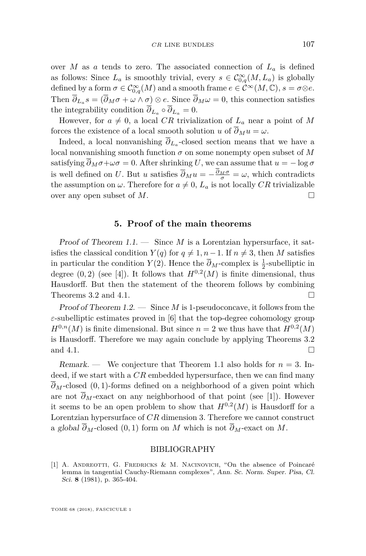over *M* as *a* tends to zero. The associated connection of  $L_a$  is defined as follows: Since  $L_a$  is smoothly trivial, every  $s \in C^{\infty}_{0,q}(M, L_a)$  is globally defined by a form  $\sigma \in C^{\infty}_{0,q}(M)$  and a smooth frame  $e \in C^{\infty}(M, \mathbb{C}), s = \sigma \otimes e$ . Then  $\partial_{L_a} s = (\partial_M \sigma + \omega \wedge \sigma) \otimes e$ . Since  $\partial_M \omega = 0$ , this connection satisfies the integrability condition  $\partial_{L_a} \circ \partial_{L_a} = 0$ .

However, for  $a \neq 0$ , a local *CR* trivialization of  $L_a$  near a point of M forces the existence of a local smooth solution *u* of  $\overline{\partial}_M u = \omega$ .

Indeed, a local nonvanishing *∂L<sup>a</sup>* -closed section means that we have a local nonvanishing smooth function  $\sigma$  on some nonempty open subset of M satisfying  $\overline{\partial}_M \sigma + \omega \sigma = 0$ . After shrinking *U*, we can assume that  $u = -\log \sigma$ is well defined on *U*. But *u* satisfies  $\overline{\partial}_M u = -\frac{\partial_M \sigma}{\sigma} = \omega$ , which contradicts the assumption on  $\omega$ . Therefore for  $a \neq 0$ ,  $L_a$  is not locally *CR* trivializable over any open subset of  $M$ .

#### **5. Proof of the main theorems**

Proof of Theorem [1.1.](#page-2-0) — Since *M* is a Lorentzian hypersurface, it satisfies the classical condition  $Y(q)$  for  $q \neq 1, n-1$ . If  $n \neq 3$ , then *M* satisfies in particular the condition *Y*(2). Hence the  $\overline{\partial}_M$ -complex is  $\frac{1}{2}$ -subelliptic in degree  $(0, 2)$  (see [\[4\]](#page-8-6)). It follows that  $H^{0,2}(M)$  is finite dimensional, thus Hausdorff. But then the statement of the theorem follows by combining Theorems [3.2](#page-5-2) and [4.1.](#page-6-0)

Proof of Theorem [1.2.](#page-2-1) — Since *M* is 1-pseudoconcave, it follows from the *ε*-subelliptic estimates proved in [\[6\]](#page-8-0) that the top-degree cohomology group  $H^{0,n}(M)$  is finite dimensional. But since  $n = 2$  we thus have that  $H^{0,2}(M)$ is Hausdorff. Therefore we may again conclude by applying Theorems [3.2](#page-5-2) and [4.1.](#page-6-0)

Remark. — We conjecture that Theorem [1.1](#page-2-0) also holds for  $n = 3$ . Indeed, if we start with a *CR* embedded hypersurface, then we can find many *∂M*-closed (0*,* 1)-forms defined on a neighborhood of a given point which are not  $\overline{\partial}_M$ -exact on any neighborhood of that point (see [\[1\]](#page-7-0)). However it seems to be an open problem to show that  $H^{0,2}(M)$  is Hausdorff for a Lorentzian hypersurface of *CR* dimension 3. Therefore we cannot construct a global  $\overline{\partial}_M$ -closed (0,1) form on *M* which is not  $\overline{\partial}_M$ -exact on *M*.

#### BIBLIOGRAPHY

<span id="page-7-0"></span>[1] A. Andreotti, G. Fredricks & M. Nacinovich, "On the absence of Poincaré lemma in tangential Cauchy-Riemann complexes", Ann. Sc. Norm. Super. Pisa, Cl. Sci. **8** (1981), p. 365-404.